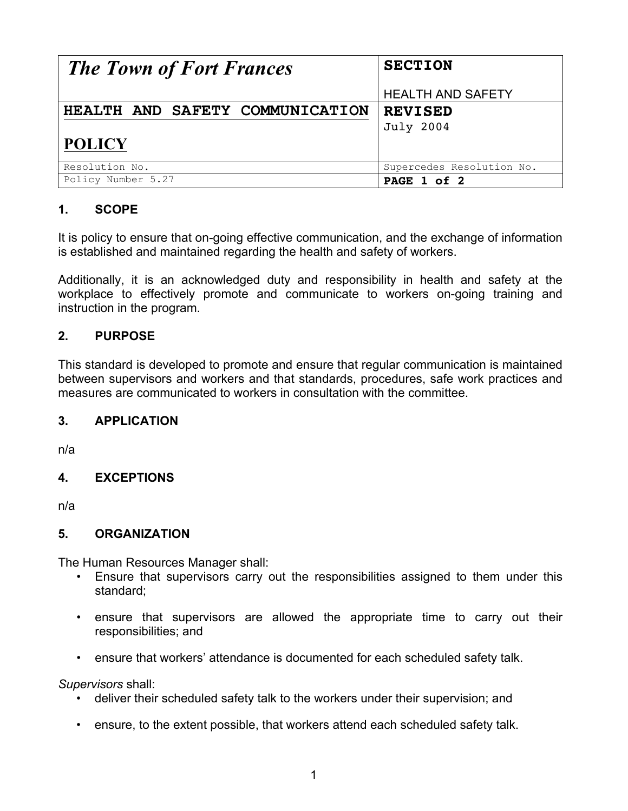| <b>The Town of Fort Frances</b> | <b>SECTION</b>            |
|---------------------------------|---------------------------|
|                                 | <b>HEALTH AND SAFETY</b>  |
| HEALTH AND SAFETY COMMUNICATION | <b>REVISED</b>            |
|                                 | <b>July 2004</b>          |
| <b>POLICY</b>                   |                           |
| Resolution No.                  | Supercedes Resolution No. |
| Policy Number 5.27              | PAGE 1 of 2               |

## **1. SCOPE**

It is policy to ensure that on-going effective communication, and the exchange of information is established and maintained regarding the health and safety of workers.

Additionally, it is an acknowledged duty and responsibility in health and safety at the workplace to effectively promote and communicate to workers on-going training and instruction in the program.

### **2. PURPOSE**

This standard is developed to promote and ensure that regular communication is maintained between supervisors and workers and that standards, procedures, safe work practices and measures are communicated to workers in consultation with the committee.

#### **3. APPLICATION**

n/a

#### **4. EXCEPTIONS**

n/a

#### **5. ORGANIZATION**

The Human Resources Manager shall:

- Ensure that supervisors carry out the responsibilities assigned to them under this standard;
- ensure that supervisors are allowed the appropriate time to carry out their responsibilities; and
- ensure that workers' attendance is documented for each scheduled safety talk.

*Supervisors* shall:

- deliver their scheduled safety talk to the workers under their supervision; and
- ensure, to the extent possible, that workers attend each scheduled safety talk.